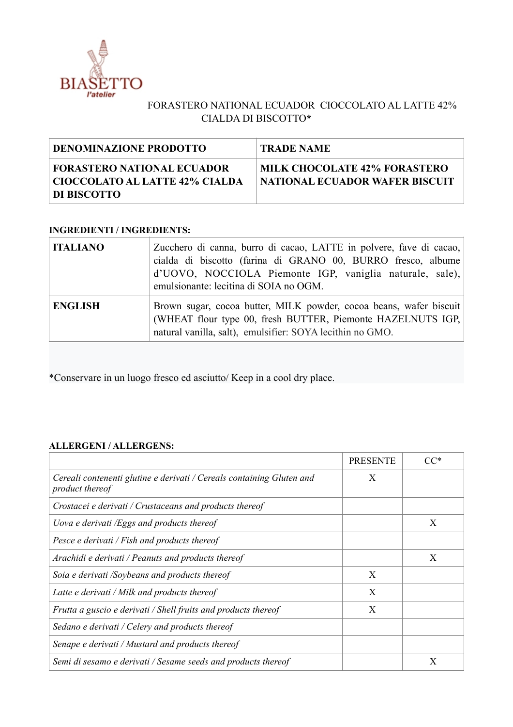

## FORASTERO NATIONAL ECUADOR CIOCCOLATO AL LATTE 42% CIALDA DI BISCOTTO**\***

| DENOMINAZIONE PRODOTTO                                                                      | <b>TRADE NAME</b>                                                       |
|---------------------------------------------------------------------------------------------|-------------------------------------------------------------------------|
| <b>FORASTERO NATIONAL ECUADOR</b><br>  CIOCCOLATO AL LATTE 42% CIALDA<br><b>DI BISCOTTO</b> | <b>MILK CHOCOLATE 42% FORASTERO</b><br>  NATIONAL ECUADOR WAFER BISCUIT |

## **INGREDIENTI / INGREDIENTS:**

| <b>ITALIANO</b> | Zucchero di canna, burro di cacao, LATTE in polvere, fave di cacao,<br>cialda di biscotto (farina di GRANO 00, BURRO fresco, albume<br>d'UOVO, NOCCIOLA Piemonte IGP, vaniglia naturale, sale),<br>emulsionante: lecitina di SOIA no OGM. |
|-----------------|-------------------------------------------------------------------------------------------------------------------------------------------------------------------------------------------------------------------------------------------|
| <b>ENGLISH</b>  | Brown sugar, cocoa butter, MILK powder, cocoa beans, wafer biscuit<br>(WHEAT flour type 00, fresh BUTTER, Piemonte HAZELNUTS IGP,<br>natural vanilla, salt), emulsifier: SOYA lecithin no GMO.                                            |

\*Conservare in un luogo fresco ed asciutto/ Keep in a cool dry place.

## **ALLERGENI / ALLERGENS:**

|                                                                                          | <b>PRESENTE</b> |   |
|------------------------------------------------------------------------------------------|-----------------|---|
| Cereali contenenti glutine e derivati / Cereals containing Gluten and<br>product thereof | X               |   |
| Crostacei e derivati / Crustaceans and products thereof                                  |                 |   |
| Uova e derivati /Eggs and products thereof                                               |                 | X |
| Pesce e derivati / Fish and products thereof                                             |                 |   |
| Arachidi e derivati / Peanuts and products thereof                                       |                 | X |
| Soia e derivati /Soybeans and products thereof                                           | X               |   |
| Latte e derivati / Milk and products thereof                                             | X               |   |
| Frutta a guscio e derivati / Shell fruits and products thereof                           | X               |   |
| Sedano e derivati / Celery and products thereof                                          |                 |   |
| Senape e derivati / Mustard and products thereof                                         |                 |   |
| Semi di sesamo e derivati / Sesame seeds and products thereof                            |                 | X |